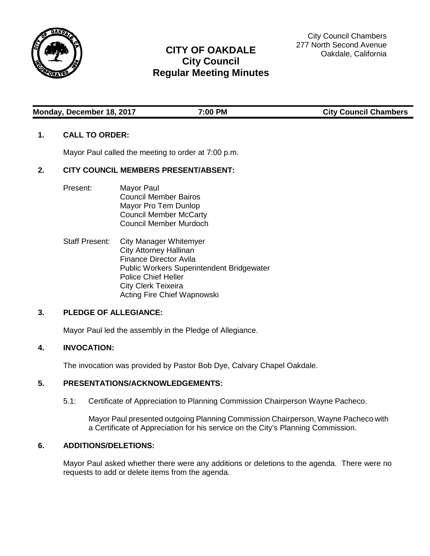

# **CITY OF OAKDALE City Council Regular Meeting Minutes**

City Council Chambers 277 North Second Avenue Oakdale, California

| Monday, December 18, 2017 |  |  |  |  |  |
|---------------------------|--|--|--|--|--|
|---------------------------|--|--|--|--|--|

**Monday, 2018 19, 2018 19, 2018 19, 2018 19, 2018 19, 2018 19, 2018 19, 2018 19, 2018 19, 2018 19, 2018 19, 2018 19, 2018 19, 2018 19, 2018 19, 2018 19, 2019 19, 2019 19, 2019 19, 2019 19, 2019 19, 2019 19, 2019 19, 2019 1** 

# **1. CALL TO ORDER:**

Mayor Paul called the meeting to order at 7:00 p.m.

# **2. CITY COUNCIL MEMBERS PRESENT/ABSENT:**

- Present: Mayor Paul Council Member Bairos Mayor Pro Tem Dunlop Council Member McCarty Council Member Murdoch
- Staff Present: City Manager Whitemyer City Attorney Hallinan Finance Director Avila Public Workers Superintendent Bridgewater Police Chief Heller City Clerk Teixeira Acting Fire Chief Wapnowski

# **3. PLEDGE OF ALLEGIANCE:**

Mayor Paul led the assembly in the Pledge of Allegiance.

# **4. INVOCATION:**

The invocation was provided by Pastor Bob Dye, Calvary Chapel Oakdale.

# **5. PRESENTATIONS/ACKNOWLEDGEMENTS:**

5.1: Certificate of Appreciation to Planning Commission Chairperson Wayne Pacheco.

Mayor Paul presented outgoing Planning Commission Chairperson, Wayne Pacheco with a Certificate of Appreciation for his service on the City's Planning Commission.

# **6. ADDITIONS/DELETIONS:**

Mayor Paul asked whether there were any additions or deletions to the agenda. There were no requests to add or delete items from the agenda.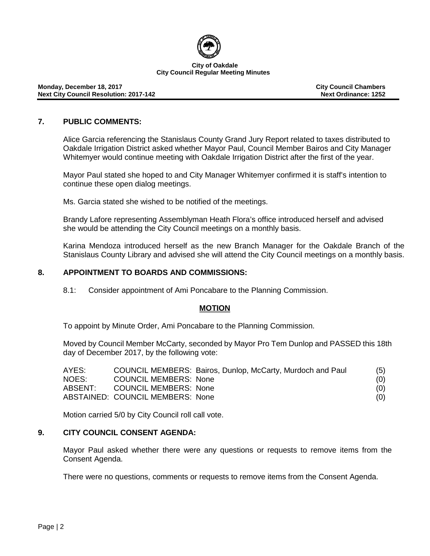

### **Monday, December 18, 2017 City Council Chambers Next City Council Resolution: 2017-142**

## **7. PUBLIC COMMENTS:**

Alice Garcia referencing the Stanislaus County Grand Jury Report related to taxes distributed to Oakdale Irrigation District asked whether Mayor Paul, Council Member Bairos and City Manager Whitemyer would continue meeting with Oakdale Irrigation District after the first of the year.

Mayor Paul stated she hoped to and City Manager Whitemyer confirmed it is staff's intention to continue these open dialog meetings.

Ms. Garcia stated she wished to be notified of the meetings.

Brandy Lafore representing Assemblyman Heath Flora's office introduced herself and advised she would be attending the City Council meetings on a monthly basis.

Karina Mendoza introduced herself as the new Branch Manager for the Oakdale Branch of the Stanislaus County Library and advised she will attend the City Council meetings on a monthly basis.

### **8. APPOINTMENT TO BOARDS AND COMMISSIONS:**

8.1: Consider appointment of Ami Poncabare to the Planning Commission.

### **MOTION**

To appoint by Minute Order, Ami Poncabare to the Planning Commission.

Moved by Council Member McCarty, seconded by Mayor Pro Tem Dunlop and PASSED this 18th day of December 2017, by the following vote:

| AYES:   |                                  | COUNCIL MEMBERS: Bairos, Dunlop, McCarty, Murdoch and Paul | (5) |
|---------|----------------------------------|------------------------------------------------------------|-----|
| NOES:   | <b>COUNCIL MEMBERS: None</b>     |                                                            | (0) |
| ABSENT: | <b>COUNCIL MEMBERS: None</b>     |                                                            | (0) |
|         | ABSTAINED: COUNCIL MEMBERS: None |                                                            | (0) |

Motion carried 5/0 by City Council roll call vote.

## **9. CITY COUNCIL CONSENT AGENDA:**

Mayor Paul asked whether there were any questions or requests to remove items from the Consent Agenda.

There were no questions, comments or requests to remove items from the Consent Agenda.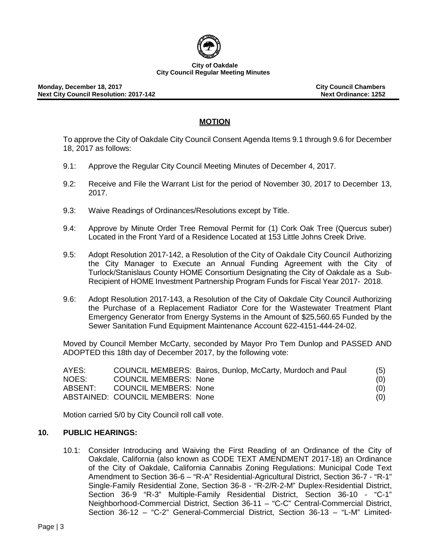

# **MOTION**

To approve the City of Oakdale City Council Consent Agenda Items 9.1 through 9.6 for December 18, 2017 as follows:

- 9.1: Approve the Regular City Council Meeting Minutes of December 4, 2017.
- 9.2: Receive and File the Warrant List for the period of November 30, 2017 to December 13, 2017.
- 9.3: Waive Readings of Ordinances/Resolutions except by Title.
- 9.4: Approve by Minute Order Tree Removal Permit for (1) Cork Oak Tree (Quercus suber) Located in the Front Yard of a Residence Located at 153 Little Johns Creek Drive.
- 9.5: Adopt Resolution 2017-142, a Resolution of the City of Oakdale City Council Authorizing the City Manager to Execute an Annual Funding Agreement with the City of Turlock/Stanislaus County HOME Consortium Designating the City of Oakdale as a Sub-Recipient of HOME Investment Partnership Program Funds for Fiscal Year 2017- 2018.
- 9.6: Adopt Resolution 2017-143, a Resolution of the City of Oakdale City Council Authorizing the Purchase of a Replacement Radiator Core for the Wastewater Treatment Plant Emergency Generator from Energy Systems in the Amount of \$25,560.65 Funded by the Sewer Sanitation Fund Equipment Maintenance Account 622-4151-444-24-02.

Moved by Council Member McCarty, seconded by Mayor Pro Tem Dunlop and PASSED AND ADOPTED this 18th day of December 2017, by the following vote:

| AYES:                                   | COUNCIL MEMBERS: Bairos, Dunlop, McCarty, Murdoch and Paul | (5) |
|-----------------------------------------|------------------------------------------------------------|-----|
| NOES:<br><b>COUNCIL MEMBERS: None</b>   |                                                            | (0) |
| ABSENT:<br><b>COUNCIL MEMBERS: None</b> |                                                            | (0) |
| ABSTAINED: COUNCIL MEMBERS: None        |                                                            | (0) |

Motion carried 5/0 by City Council roll call vote.

# **10. PUBLIC HEARINGS:**

10.1: Consider Introducing and Waiving the First Reading of an Ordinance of the City of Oakdale, California (also known as CODE TEXT AMENDMENT 2017-18) an Ordinance of the City of Oakdale, California Cannabis Zoning Regulations: Municipal Code Text Amendment to Section 36-6 – "R-A" Residential-Agricultural District, Section 36-7 - "R-1" Single-Family Residential Zone, Section 36-8 - "R-2/R-2-M" Duplex-Residential District, Section 36-9 "R-3" Multiple-Family Residential District, Section 36-10 - "C-1" Neighborhood-Commercial District, Section 36-11 – "C-C" Central-Commercial District, Section 36-12 – "C-2" General-Commercial District, Section 36-13 – "L-M" Limited-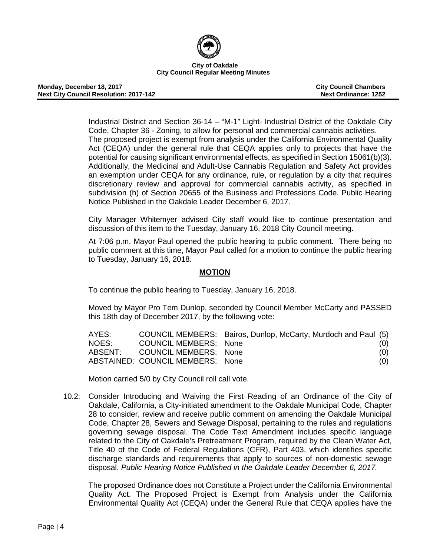

Industrial District and Section 36-14 – "M-1" Light- Industrial District of the Oakdale City Code, Chapter 36 - Zoning, to allow for personal and commercial cannabis activities. The proposed project is exempt from analysis under the California Environmental Quality Act (CEQA) under the general rule that CEQA applies only to projects that have the potential for causing significant environmental effects, as specified in Section 15061(b)(3). Additionally, the Medicinal and Adult-Use Cannabis Regulation and Safety Act provides an exemption under CEQA for any ordinance, rule, or regulation by a city that requires discretionary review and approval for commercial cannabis activity, as specified in subdivision (h) of Section 20655 of the Business and Professions Code. Public Hearing Notice Published in the Oakdale Leader December 6, 2017.

City Manager Whitemyer advised City staff would like to continue presentation and discussion of this item to the Tuesday, January 16, 2018 City Council meeting.

At 7:06 p.m. Mayor Paul opened the public hearing to public comment. There being no public comment at this time, Mayor Paul called for a motion to continue the public hearing to Tuesday, January 16, 2018.

# **MOTION**

To continue the public hearing to Tuesday, January 16, 2018.

Moved by Mayor Pro Tem Dunlop, seconded by Council Member McCarty and PASSED this 18th day of December 2017, by the following vote:

| AYES: |                                  | COUNCIL MEMBERS: Bairos, Dunlop, McCarty, Murdoch and Paul (5) |     |
|-------|----------------------------------|----------------------------------------------------------------|-----|
| NOES: | COUNCIL MEMBERS: None            |                                                                | (0) |
|       | ABSENT: COUNCIL MEMBERS: None    |                                                                | (0) |
|       | ABSTAINED: COUNCIL MEMBERS: None |                                                                | (0) |

Motion carried 5/0 by City Council roll call vote.

10.2: Consider Introducing and Waiving the First Reading of an Ordinance of the City of Oakdale, California, a City-initiated amendment to the Oakdale Municipal Code, Chapter 28 to consider, review and receive public comment on amending the Oakdale Municipal Code, Chapter 28, Sewers and Sewage Disposal, pertaining to the rules and regulations governing sewage disposal. The Code Text Amendment includes specific language related to the City of Oakdale's Pretreatment Program, required by the Clean Water Act, Title 40 of the Code of Federal Regulations (CFR), Part 403, which identifies specific discharge standards and requirements that apply to sources of non-domestic sewage disposal. *Public Hearing Notice Published in the Oakdale Leader December 6, 2017.*

The proposed Ordinance does not Constitute a Project under the California Environmental Quality Act. The Proposed Project is Exempt from Analysis under the California Environmental Quality Act (CEQA) under the General Rule that CEQA applies have the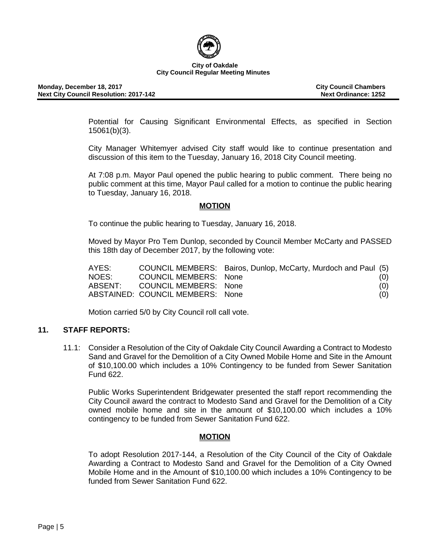

Potential for Causing Significant Environmental Effects, as specified in Section 15061(b)(3).

City Manager Whitemyer advised City staff would like to continue presentation and discussion of this item to the Tuesday, January 16, 2018 City Council meeting.

At 7:08 p.m. Mayor Paul opened the public hearing to public comment. There being no public comment at this time, Mayor Paul called for a motion to continue the public hearing to Tuesday, January 16, 2018.

### **MOTION**

To continue the public hearing to Tuesday, January 16, 2018.

Moved by Mayor Pro Tem Dunlop, seconded by Council Member McCarty and PASSED this 18th day of December 2017, by the following vote:

| AYES: |                                  | COUNCIL MEMBERS: Bairos, Dunlop, McCarty, Murdoch and Paul (5) |     |
|-------|----------------------------------|----------------------------------------------------------------|-----|
| NOES: | <b>COUNCIL MEMBERS: None</b>     |                                                                | (0) |
|       | ABSENT: COUNCIL MEMBERS: None    |                                                                | (0) |
|       | ABSTAINED: COUNCIL MEMBERS: None |                                                                | (0) |

Motion carried 5/0 by City Council roll call vote.

### **11. STAFF REPORTS:**

11.1: Consider a Resolution of the City of Oakdale City Council Awarding a Contract to Modesto Sand and Gravel for the Demolition of a City Owned Mobile Home and Site in the Amount of \$10,100.00 which includes a 10% Contingency to be funded from Sewer Sanitation Fund 622.

Public Works Superintendent Bridgewater presented the staff report recommending the City Council award the contract to Modesto Sand and Gravel for the Demolition of a City owned mobile home and site in the amount of \$10,100.00 which includes a 10% contingency to be funded from Sewer Sanitation Fund 622.

# **MOTION**

To adopt Resolution 2017-144, a Resolution of the City Council of the City of Oakdale Awarding a Contract to Modesto Sand and Gravel for the Demolition of a City Owned Mobile Home and in the Amount of \$10,100.00 which includes a 10% Contingency to be funded from Sewer Sanitation Fund 622.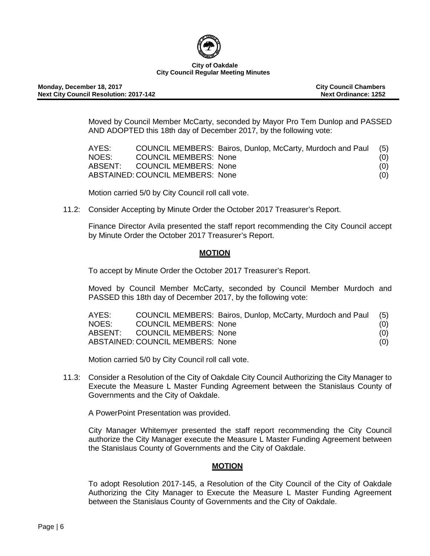

Moved by Council Member McCarty, seconded by Mayor Pro Tem Dunlop and PASSED AND ADOPTED this 18th day of December 2017, by the following vote:

AYES: COUNCIL MEMBERS: Bairos, Dunlop, McCarty, Murdoch and Paul (5) NOES: COUNCIL MEMBERS: None (0)<br>ABSENT: COUNCIL MEMBERS: None (0) COUNCIL MEMBERS: None (0) ABSTAINED: COUNCIL MEMBERS: None (0)

Motion carried 5/0 by City Council roll call vote.

11.2: Consider Accepting by Minute Order the October 2017 Treasurer's Report.

Finance Director Avila presented the staff report recommending the City Council accept by Minute Order the October 2017 Treasurer's Report.

# **MOTION**

To accept by Minute Order the October 2017 Treasurer's Report.

Moved by Council Member McCarty, seconded by Council Member Murdoch and PASSED this 18th day of December 2017, by the following vote:

| AYES: |                                  | COUNCIL MEMBERS: Bairos, Dunlop, McCarty, Murdoch and Paul (5) |     |
|-------|----------------------------------|----------------------------------------------------------------|-----|
| NOES: | <b>COUNCIL MEMBERS: None</b>     |                                                                | (0) |
|       | ABSENT: COUNCIL MEMBERS: None    |                                                                | (0) |
|       | ABSTAINED: COUNCIL MEMBERS: None |                                                                | (0) |

Motion carried 5/0 by City Council roll call vote.

11.3: Consider a Resolution of the City of Oakdale City Council Authorizing the City Manager to Execute the Measure L Master Funding Agreement between the Stanislaus County of Governments and the City of Oakdale.

A PowerPoint Presentation was provided.

City Manager Whitemyer presented the staff report recommending the City Council authorize the City Manager execute the Measure L Master Funding Agreement between the Stanislaus County of Governments and the City of Oakdale.

# **MOTION**

To adopt Resolution 2017-145, a Resolution of the City Council of the City of Oakdale Authorizing the City Manager to Execute the Measure L Master Funding Agreement between the Stanislaus County of Governments and the City of Oakdale.